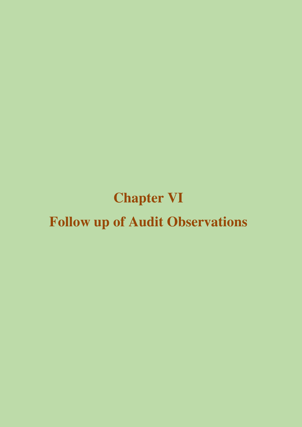# **Chapter VI Follow up of Audit Observations**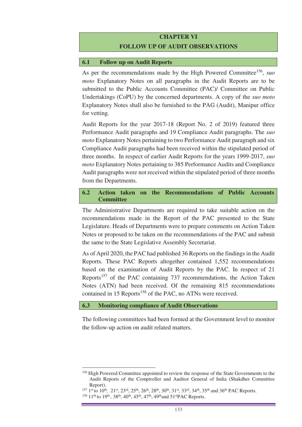# **CHAPTER VI FOLLOW UP OF AUDIT OBSERVATIONS**

#### **6.1 Follow up on Audit Reports**

As per the recommendations made by the High Powered Committee<sup>156</sup>, suo *moto* Explanatory Notes on all paragraphs in the Audit Reports are to be submitted to the Public Accounts Committee (PAC)/ Committee on Public Undertakings (CoPU) by the concerned departments. A copy of the *suo moto* Explanatory Notes shall also be furnished to the PAG (Audit), Manipur office for vetting.

Audit Reports for the year 2017-18 (Report No. 2 of 2019) featured three Performance Audit paragraphs and 19 Compliance Audit paragraphs. The *suo moto* Explanatory Notes pertaining to two Performance Audit paragraph and six Compliance Audit paragraphs had been received within the stipulated period of three months. In respect of earlier Audit Reports for the years 1999-2017, *suo moto* Explanatory Notes pertaining to 385 Performance Audits and Compliance Audit paragraphs were not received within the stipulated period of three months from the Departments.

## **6.2 Action taken on the Recommendations of Public Accounts Committee**

The Administrative Departments are required to take suitable action on the recommendations made in the Report of the PAC presented to the State Legislature. Heads of Departments were to prepare comments on Action Taken Notes or proposed to be taken on the recommendations of the PAC and submit the same to the State Legislative Assembly Secretariat.

As of April 2020, the PAC had published 36 Reports on the findings in the Audit Reports. These PAC Reports altogether contained 1,552 recommendations based on the examination of Audit Reports by the PAC. In respect of 21 Reports<sup>157</sup> of the PAC containing 737 recommendations, the Action Taken Notes (ATN) had been received. Of the remaining 815 recommendations contained in 15 Reports<sup>158</sup> of the PAC, no ATNs were received.

### **6.3 Monitoring compliance of Audit Observations**

The following committees had been formed at the Government level to monitor the follow-up action on audit related matters.

 $\overline{a}$ 

<sup>&</sup>lt;sup>156</sup> High Powered Committee appointed to review the response of the State Governments to the Audit Reports of the Comptroller and Auditor General of India (Shakdher Committee Report).

<sup>157 1</sup>st to 10<sup>th</sup>, 21st, 23<sup>rd</sup>, 25<sup>th</sup>, 26<sup>th</sup>, 28<sup>th</sup>, 30<sup>th</sup>, 31st, 33<sup>rd</sup>, 34<sup>th</sup>, 35<sup>th</sup> and 36<sup>th</sup> PAC Reports.

<sup>&</sup>lt;sup>158</sup> 11<sup>th</sup> to 19<sup>th</sup>, 38<sup>th</sup>, 40<sup>th</sup>, 45<sup>th</sup>, 47<sup>th</sup>, 49<sup>th</sup>and 51<sup>st</sup>PAC Reports.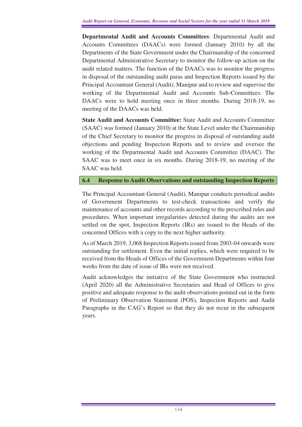**Departmental Audit and Accounts Committees**: Departmental Audit and Accounts Committees (DAACs) were formed (January 2010) by all the Departments of the State Government under the Chairmanship of the concerned Departmental Administrative Secretary to monitor the follow-up action on the audit related matters. The function of the DAACs was to monitor the progress in disposal of the outstanding audit paras and Inspection Reports issued by the Principal Accountant General (Audit), Manipur and to review and supervise the working of the Departmental Audit and Accounts Sub-Committees. The DAACs were to hold meeting once in three months. During 2018-19, no meeting of the DAACs was held.

**State Audit and Accounts Committee:** State Audit and Accounts Committee (SAAC) was formed (January 2010) at the State Level under the Chairmanship of the Chief Secretary to monitor the progress in disposal of outstanding audit objections and pending Inspection Reports and to review and oversee the working of the Departmental Audit and Accounts Committee (DAAC). The SAAC was to meet once in six months. During 2018-19, no meeting of the SAAC was held.

#### **6.4 Response to Audit Observations and outstanding Inspection Reports**

The Principal Accountant General (Audit), Manipur conducts periodical audits of Government Departments to test-check transactions and verify the maintenance of accounts and other records according to the prescribed rules and procedures. When important irregularities detected during the audits are not settled on the spot, Inspection Reports (IRs) are issued to the Heads of the concerned Offices with a copy to the next higher authority.

As of March 2019, 3,068 Inspection Reports issued from 2003-04 onwards were outstanding for settlement. Even the initial replies, which were required to be received from the Heads of Offices of the Government Departments within four weeks from the date of issue of IRs were not received.

Audit acknowledges the initiative of the State Government who instructed (April 2020) all the Administrative Secretaries and Head of Offices to give positive and adequate response to the audit observations pointed out in the form of Preliminary Observation Statement (POS), Inspection Reports and Audit Paragraphs in the CAG's Report so that they do not recur in the subsequent years.